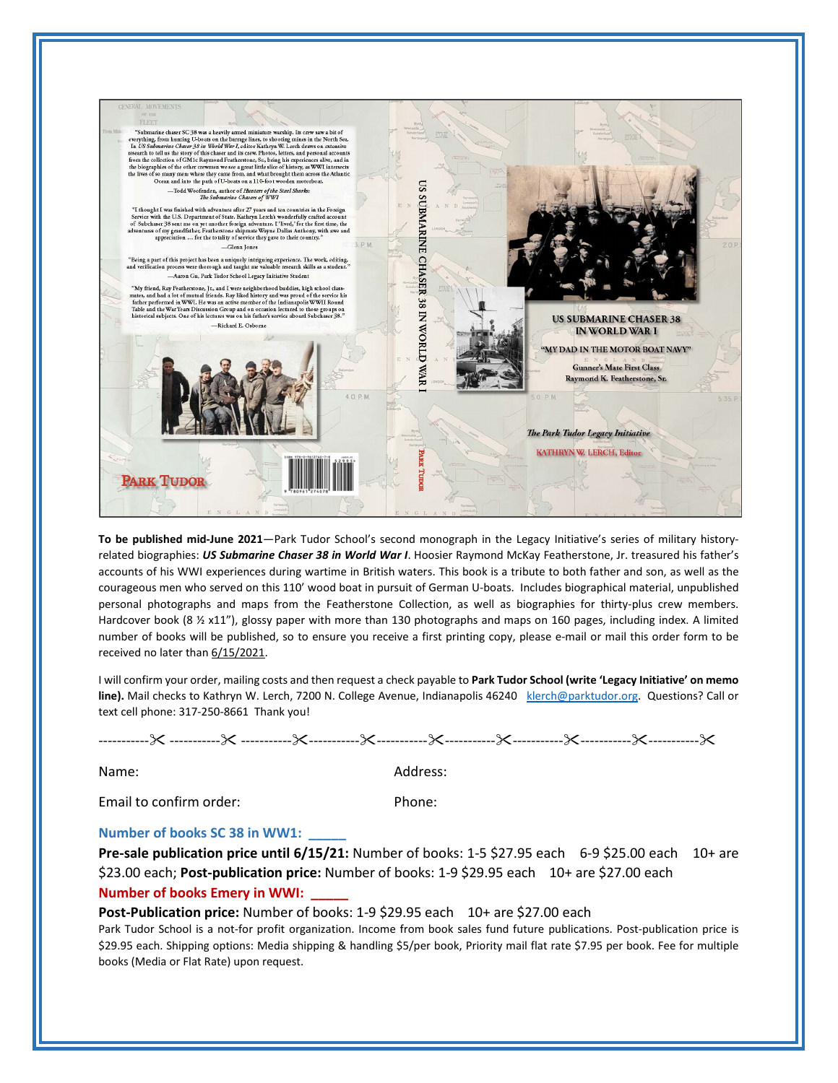

**To be published mid-June 2021**—Park Tudor School's second monograph in the Legacy Initiative's series of military historyrelated biographies: *US Submarine Chaser 38 in World War I*. Hoosier Raymond McKay Featherstone, Jr. treasured his father's accounts of his WWI experiences during wartime in British waters. This book is a tribute to both father and son, as well as the courageous men who served on this 110' wood boat in pursuit of German U-boats. Includes biographical material, unpublished personal photographs and maps from the Featherstone Collection, as well as biographies for thirty-plus crew members. Hardcover book (8 1/2 x11"), glossy paper with more than 130 photographs and maps on 160 pages, including index. A limited number of books will be published, so to ensure you receive a first printing copy, please e-mail or mail this order form to be received no later than 6/15/2021.

I will confirm your order, mailing costs and then request a check payable to **Park Tudor School (write 'Legacy Initiative' on memo**  line). Mail checks to Kathryn W. Lerch, 7200 N. College Avenue, Indianapolis 46240 [klerch@parktudor.org.](mailto:klerch@parktudor.org) Questions? Call or text cell phone: 317-250-8661 Thank you!

Name: Address:

Email to confirm order: Phone:

## **Number of books SC 38 in WW1: \_\_\_\_\_**

**Pre-sale publication price until 6/15/21:** Number of books: 1-5 \$27.95 each 6-9 \$25.00 each 10+ are \$23.00 each; **Post-publication price:** Number of books: 1-9 \$29.95 each 10+ are \$27.00 each **Number of books Emery in WWI:** 

## **Post-Publication price:** Number of books: 1-9 \$29.95 each 10+ are \$27.00 each

Park Tudor School is a not-for profit organization. Income from book sales fund future publications. Post-publication price is \$29.95 each. Shipping options: Media shipping & handling \$5/per book, Priority mail flat rate \$7.95 per book. Fee for multiple books (Media or Flat Rate) upon request.